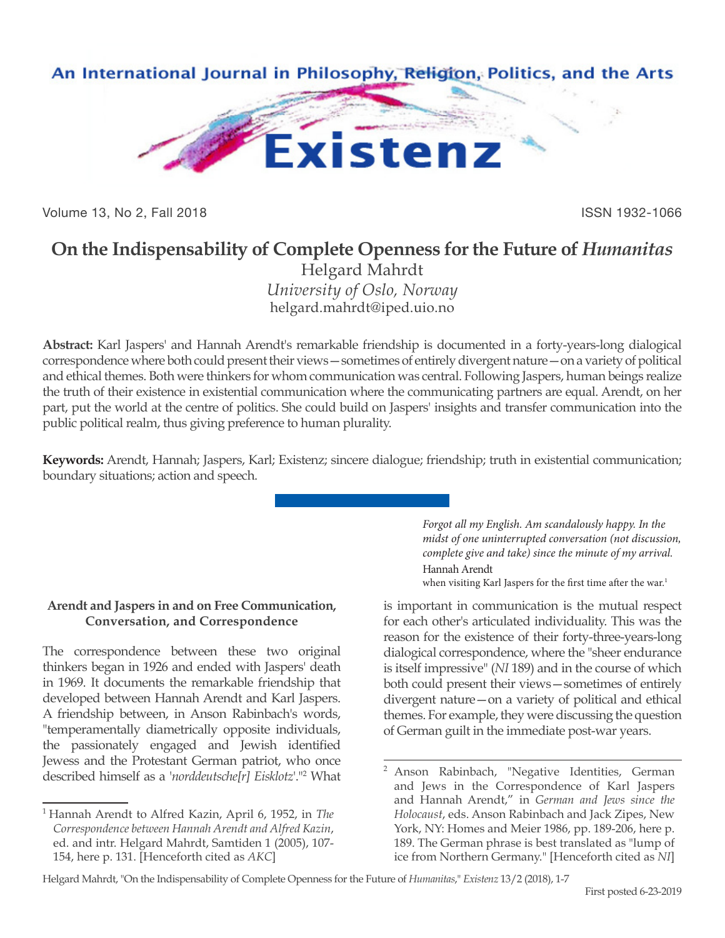

Volume 13, No 2, Fall 2018 ISSN 1932-1066

## **On the Indispensability of Complete Openness for the Future of** *Humanitas*

Helgard Mahrdt *University of Oslo, Norway* helgard.mahrdt@iped.uio.no

**Abstract:** Karl Jaspers' and Hannah Arendt's remarkable friendship is documented in a forty-years-long dialogical correspondence where both could present their views—sometimes of entirely divergent nature—on a variety of political and ethical themes. Both were thinkers for whom communication was central. Following Jaspers, human beings realize the truth of their existence in existential communication where the communicating partners are equal. Arendt, on her part, put the world at the centre of politics. She could build on Jaspers' insights and transfer communication into the public political realm, thus giving preference to human plurality.

**Keywords:** Arendt, Hannah; Jaspers, Karl; Existenz; sincere dialogue; friendship; truth in existential communication; boundary situations; action and speech.

## **Arendt and Jaspers in and on Free Communication, Conversation, and Correspondence**

The correspondence between these two original thinkers began in 1926 and ended with Jaspers' death in 1969. It documents the remarkable friendship that developed between Hannah Arendt and Karl Jaspers. A friendship between, in Anson Rabinbach's words, "temperamentally diametrically opposite individuals, the passionately engaged and Jewish identified Jewess and the Protestant German patriot, who once described himself as a '*norddeutsche[r] Eisklotz*'."2 What *Forgot all my English. Am scandalously happy. In the midst of one uninterrupted conversation (not discussion, complete give and take) since the minute of my arrival.* Hannah Arendt

when visiting Karl Jaspers for the first time after the war.<sup>1</sup>

is important in communication is the mutual respect for each other's articulated individuality. This was the reason for the existence of their forty-three-years-long dialogical correspondence, where the "sheer endurance is itself impressive" (*NI* 189) and in the course of which both could present their views—sometimes of entirely divergent nature—on a variety of political and ethical themes. For example, they were discussing the question of German guilt in the immediate post-war years.

Helgard Mahrdt, "On the Indispensability of Complete Openness for the Future of *Humanitas*," *Existenz* 13/2 (2018), 1-7

<sup>1</sup> Hannah Arendt to Alfred Kazin, April 6, 1952, in *The Correspondence between Hannah Arendt and Alfred Kazin*, ed. and intr. Helgard Mahrdt, Samtiden 1 (2005), 107- 154, here p. 131. [Henceforth cited as *AKC*]

<sup>&</sup>lt;sup>2</sup> Anson Rabinbach, "Negative Identities, German and Jews in the Correspondence of Karl Jaspers and Hannah Arendt," in *German and Jews since the Holocaust*, eds. Anson Rabinbach and Jack Zipes, New York, NY: Homes and Meier 1986, pp. 189-206, here p. 189. The German phrase is best translated as "lump of ice from Northern Germany." [Henceforth cited as *NI*]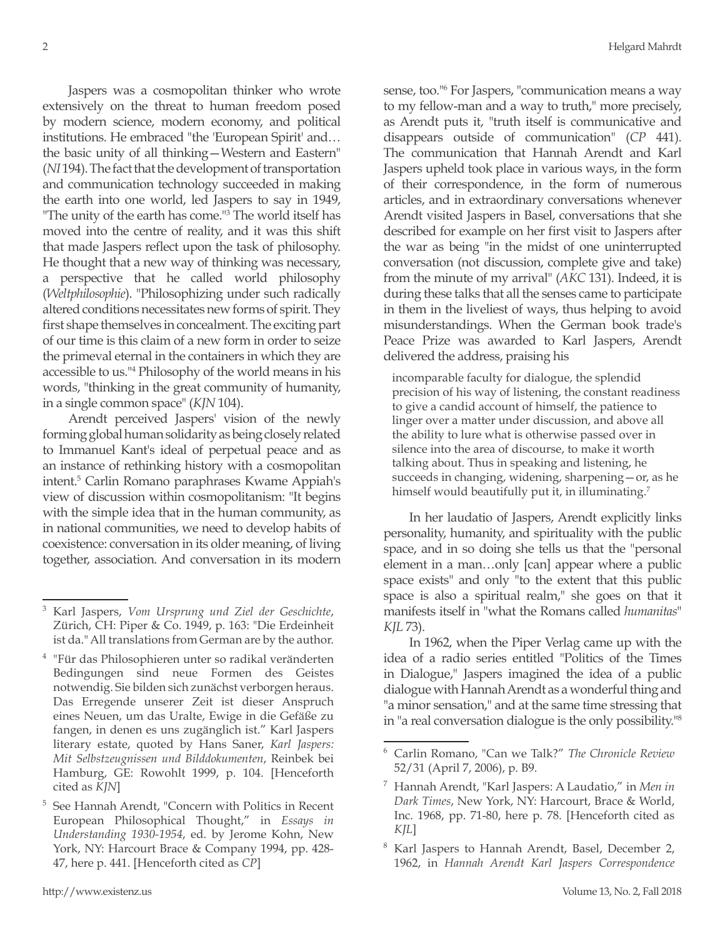Jaspers was a cosmopolitan thinker who wrote extensively on the threat to human freedom posed by modern science, modern economy, and political institutions. He embraced "the 'European Spirit' and… the basic unity of all thinking—Western and Eastern" (*NI* 194). The fact that the development of transportation and communication technology succeeded in making the earth into one world, led Jaspers to say in 1949, "The unity of the earth has come."3 The world itself has moved into the centre of reality, and it was this shift that made Jaspers reflect upon the task of philosophy. He thought that a new way of thinking was necessary, a perspective that he called world philosophy (*Weltphilosophie*). "Philosophizing under such radically altered conditions necessitates new forms of spirit. They first shape themselves in concealment. The exciting part of our time is this claim of a new form in order to seize the primeval eternal in the containers in which they are accessible to us."4 Philosophy of the world means in his words, "thinking in the great community of humanity, in a single common space" (*KJN* 104).

Arendt perceived Jaspers' vision of the newly forming global human solidarity as being closely related to Immanuel Kant's ideal of perpetual peace and as an instance of rethinking history with a cosmopolitan intent.5 Carlin Romano paraphrases Kwame Appiah's view of discussion within cosmopolitanism: "It begins with the simple idea that in the human community, as in national communities, we need to develop habits of coexistence: conversation in its older meaning, of living together, association. And conversation in its modern

sense, too."6 For Jaspers, "communication means a way to my fellow-man and a way to truth," more precisely, as Arendt puts it, "truth itself is communicative and disappears outside of communication" (*CP* 441). The communication that Hannah Arendt and Karl Jaspers upheld took place in various ways, in the form of their correspondence, in the form of numerous articles, and in extraordinary conversations whenever Arendt visited Jaspers in Basel, conversations that she described for example on her first visit to Jaspers after the war as being "in the midst of one uninterrupted conversation (not discussion, complete give and take) from the minute of my arrival" (*AKC* 131). Indeed, it is during these talks that all the senses came to participate in them in the liveliest of ways, thus helping to avoid misunderstandings. When the German book trade's Peace Prize was awarded to Karl Jaspers, Arendt delivered the address, praising his

incomparable faculty for dialogue, the splendid precision of his way of listening, the constant readiness to give a candid account of himself, the patience to linger over a matter under discussion, and above all the ability to lure what is otherwise passed over in silence into the area of discourse, to make it worth talking about. Thus in speaking and listening, he succeeds in changing, widening, sharpening—or, as he himself would beautifully put it, in illuminating.<sup>7</sup>

In her laudatio of Jaspers, Arendt explicitly links personality, humanity, and spirituality with the public space, and in so doing she tells us that the "personal element in a man…only [can] appear where a public space exists" and only "to the extent that this public space is also a spiritual realm," she goes on that it manifests itself in "what the Romans called *humanitas*" *KJL* 73).

In 1962, when the Piper Verlag came up with the idea of a radio series entitled "Politics of the Times in Dialogue," Jaspers imagined the idea of a public dialogue with Hannah Arendt as a wonderful thing and "a minor sensation," and at the same time stressing that in "a real conversation dialogue is the only possibility."8

<sup>3</sup> Karl Jaspers, *Vom Ursprung und Ziel der Geschichte*, Zürich, CH: Piper & Co. 1949, p. 163: "Die Erdeinheit ist da." All translations from German are by the author.

<sup>4</sup> "Für das Philosophieren unter so radikal veränderten Bedingungen sind neue Formen des Geistes notwendig. Sie bilden sich zunächst verborgen heraus. Das Erregende unserer Zeit ist dieser Anspruch eines Neuen, um das Uralte, Ewige in die Gefäße zu fangen, in denen es uns zugänglich ist." Karl Jaspers literary estate, quoted by Hans Saner, *Karl Jaspers: Mit Selbstzeugnissen und Bilddokumenten*, Reinbek bei Hamburg, GE: Rowohlt 1999, p. 104. [Henceforth cited as *KJN*]

<sup>5</sup> See Hannah Arendt, "Concern with Politics in Recent European Philosophical Thought," in *Essays in Understanding 1930-1954*, ed. by Jerome Kohn, New York, NY: Harcourt Brace & Company 1994, pp. 428- 47, here p. 441. [Henceforth cited as *CP*]

<sup>6</sup> Carlin Romano, "Can we Talk?" *The Chronicle Review* 52/31 (April 7, 2006), p. B9.

<sup>7</sup> Hannah Arendt, "Karl Jaspers: A Laudatio," in *Men in Dark Times*, New York, NY: Harcourt, Brace & World, Inc. 1968, pp. 71-80, here p. 78. [Henceforth cited as *KJL*]

<sup>8</sup> Karl Jaspers to Hannah Arendt, Basel, December 2, 1962, in *Hannah Arendt Karl Jaspers Correspondence*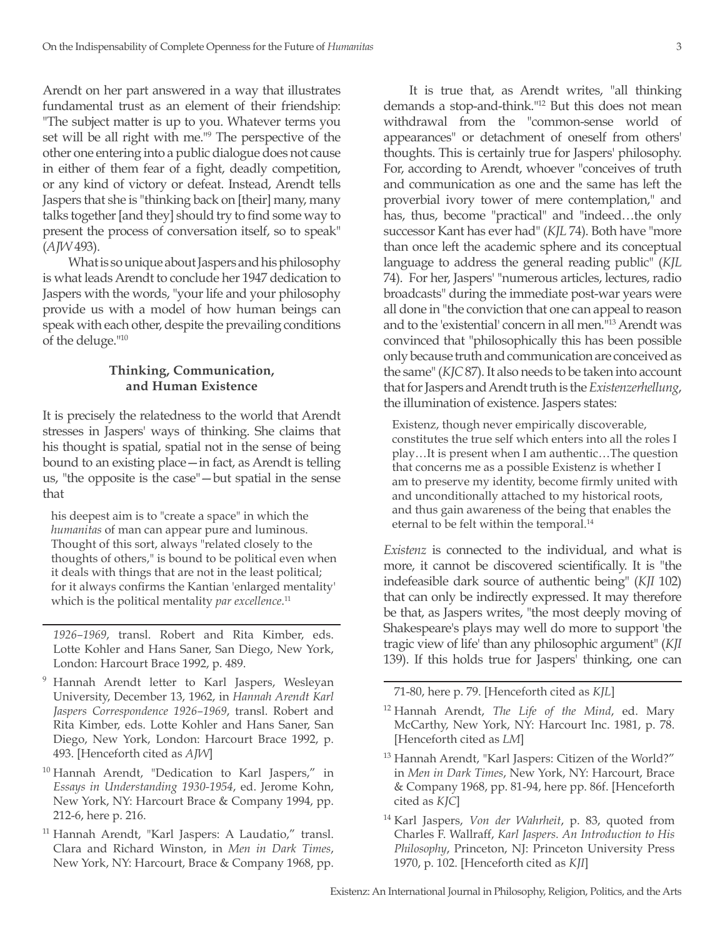Arendt on her part answered in a way that illustrates fundamental trust as an element of their friendship: "The subject matter is up to you. Whatever terms you set will be all right with me."9 The perspective of the other one entering into a public dialogue does not cause in either of them fear of a fight, deadly competition, or any kind of victory or defeat. Instead, Arendt tells Jaspers that she is "thinking back on [their] many, many talks together [and they] should try to find some way to present the process of conversation itself, so to speak" (*AJW* 493).

What is so unique about Jaspers and his philosophy is what leads Arendt to conclude her 1947 dedication to Jaspers with the words, "your life and your philosophy provide us with a model of how human beings can speak with each other, despite the prevailing conditions of the deluge."10

## **Thinking, Communication, and Human Existence**

It is precisely the relatedness to the world that Arendt stresses in Jaspers' ways of thinking. She claims that his thought is spatial, spatial not in the sense of being bound to an existing place—in fact, as Arendt is telling us, "the opposite is the case"—but spatial in the sense that

his deepest aim is to "create a space" in which the *humanitas* of man can appear pure and luminous. Thought of this sort, always "related closely to the thoughts of others," is bound to be political even when it deals with things that are not in the least political; for it always confirms the Kantian 'enlarged mentality' which is the political mentality *par excellence*. 11

*1926–1969*, transl. Robert and Rita Kimber, eds. Lotte Kohler and Hans Saner, San Diego, New York, London: Harcourt Brace 1992, p. 489.

- <sup>9</sup> Hannah Arendt letter to Karl Jaspers, Wesleyan University, December 13, 1962, in *Hannah Arendt Karl Jaspers Correspondence 1926–1969*, transl. Robert and Rita Kimber, eds. Lotte Kohler and Hans Saner, San Diego, New York, London: Harcourt Brace 1992, p. 493. [Henceforth cited as *AJW*]
- <sup>10</sup> Hannah Arendt, "Dedication to Karl Jaspers," in *Essays in Understanding 1930-1954*, ed. Jerome Kohn, New York, NY: Harcourt Brace & Company 1994, pp. 212-6, here p. 216.
- <sup>11</sup> Hannah Arendt, "Karl Jaspers: A Laudatio," transl. Clara and Richard Winston, in *Men in Dark Times*, New York, NY: Harcourt, Brace & Company 1968, pp.

It is true that, as Arendt writes, "all thinking demands a stop-and-think."12 But this does not mean withdrawal from the "common-sense world of appearances" or detachment of oneself from others' thoughts. This is certainly true for Jaspers' philosophy. For, according to Arendt, whoever "conceives of truth and communication as one and the same has left the proverbial ivory tower of mere contemplation," and has, thus, become "practical" and "indeed…the only successor Kant has ever had" (*KJL* 74). Both have "more than once left the academic sphere and its conceptual language to address the general reading public" (*KJL* 74). For her, Jaspers' "numerous articles, lectures, radio broadcasts" during the immediate post-war years were all done in "the conviction that one can appeal to reason and to the 'existential' concern in all men."13 Arendt was convinced that "philosophically this has been possible only because truth and communication are conceived as the same" (*KJC* 87). It also needs to be taken into account that for Jaspers and Arendt truth is the *Existenzerhellung*, the illumination of existence. Jaspers states:

Existenz, though never empirically discoverable, constitutes the true self which enters into all the roles I play…It is present when I am authentic…The question that concerns me as a possible Existenz is whether I am to preserve my identity, become firmly united with and unconditionally attached to my historical roots, and thus gain awareness of the being that enables the eternal to be felt within the temporal.<sup>14</sup>

*Existenz* is connected to the individual, and what is more, it cannot be discovered scientifically. It is "the indefeasible dark source of authentic being" (*KJI* 102) that can only be indirectly expressed. It may therefore be that, as Jaspers writes, "the most deeply moving of Shakespeare's plays may well do more to support 'the tragic view of life' than any philosophic argument" (*KJI*  139). If this holds true for Jaspers' thinking, one can

71-80, here p. 79. [Henceforth cited as *KJL*]

- <sup>12</sup> Hannah Arendt, *The Life of the Mind*, ed. Mary McCarthy, New York, NY: Harcourt Inc. 1981, p. 78. [Henceforth cited as *LM*]
- <sup>13</sup> Hannah Arendt, "Karl Jaspers: Citizen of the World?" in *Men in Dark Times*, New York, NY: Harcourt, Brace & Company 1968, pp. 81-94, here pp. 86f. [Henceforth cited as *KJC*]
- <sup>14</sup> Karl Jaspers, *Von der Wahrheit*, p. 83, quoted from Charles F. Wallraff, *Karl Jaspers. An Introduction to His Philosophy*, Princeton, NJ: Princeton University Press 1970, p. 102. [Henceforth cited as *KJI*]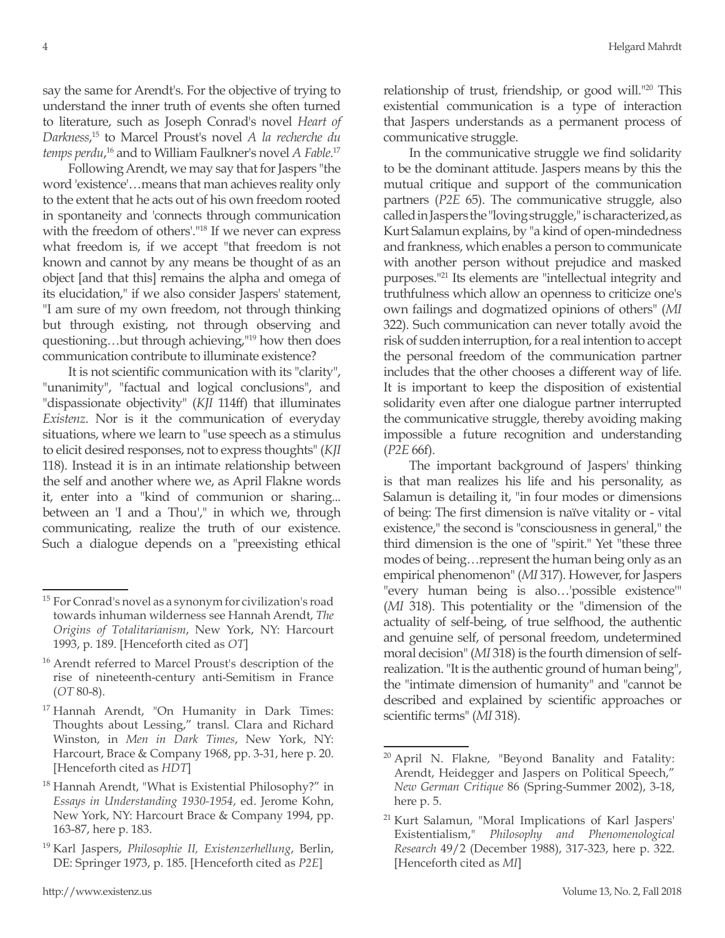say the same for Arendt's. For the objective of trying to understand the inner truth of events she often turned to literature, such as Joseph Conrad's novel *Heart of Darkness*, 15 to Marcel Proust's novel *A la recherche du temps perdu*, 16 and to William Faulkner's novel *A Fable*. 17

Following Arendt, we may say that for Jaspers "the word 'existence'…means that man achieves reality only to the extent that he acts out of his own freedom rooted in spontaneity and 'connects through communication with the freedom of others'."18 If we never can express what freedom is, if we accept "that freedom is not known and cannot by any means be thought of as an object [and that this] remains the alpha and omega of its elucidation," if we also consider Jaspers' statement, "I am sure of my own freedom, not through thinking but through existing, not through observing and questioning…but through achieving,"19 how then does communication contribute to illuminate existence?

It is not scientific communication with its "clarity", "unanimity", "factual and logical conclusions", and "dispassionate objectivity" (*KJI* 114ff) that illuminates *Existenz*. Nor is it the communication of everyday situations, where we learn to "use speech as a stimulus to elicit desired responses, not to express thoughts" (*KJI*  118). Instead it is in an intimate relationship between the self and another where we, as April Flakne words it, enter into a "kind of communion or sharing... between an 'I and a Thou'," in which we, through communicating, realize the truth of our existence. Such a dialogue depends on a "preexisting ethical

relationship of trust, friendship, or good will."20 This existential communication is a type of interaction that Jaspers understands as a permanent process of communicative struggle.

In the communicative struggle we find solidarity to be the dominant attitude. Jaspers means by this the mutual critique and support of the communication partners (*P2E* 65). The communicative struggle, also called in Jaspers the "loving struggle," is characterized, as Kurt Salamun explains, by "a kind of open-mindedness and frankness, which enables a person to communicate with another person without prejudice and masked purposes."21 Its elements are "intellectual integrity and truthfulness which allow an openness to criticize one's own failings and dogmatized opinions of others" (*MI*  322). Such communication can never totally avoid the risk of sudden interruption, for a real intention to accept the personal freedom of the communication partner includes that the other chooses a different way of life. It is important to keep the disposition of existential solidarity even after one dialogue partner interrupted the communicative struggle, thereby avoiding making impossible a future recognition and understanding (*P2E* 66f).

The important background of Jaspers' thinking is that man realizes his life and his personality, as Salamun is detailing it, "in four modes or dimensions of being: The first dimension is naïve vitality or - vital existence," the second is "consciousness in general," the third dimension is the one of "spirit." Yet "these three modes of being…represent the human being only as an empirical phenomenon" (*MI* 317). However, for Jaspers "every human being is also…'possible existence'" (*MI* 318). This potentiality or the "dimension of the actuality of self-being, of true selfhood, the authentic and genuine self, of personal freedom, undetermined moral decision" (*MI* 318) is the fourth dimension of selfrealization. "It is the authentic ground of human being", the "intimate dimension of humanity" and "cannot be described and explained by scientific approaches or scientific terms" (*MI* 318).

<sup>&</sup>lt;sup>15</sup> For Conrad's novel as a synonym for civilization's road towards inhuman wilderness see Hannah Arendt, *The Origins of Totalitarianism*, New York, NY: Harcourt 1993, p. 189. [Henceforth cited as *OT*]

<sup>16</sup> Arendt referred to Marcel Proust's description of the rise of nineteenth-century anti-Semitism in France (*OT* 80-8).

<sup>17</sup> Hannah Arendt, "On Humanity in Dark Times: Thoughts about Lessing," transl. Clara and Richard Winston, in *Men in Dark Times*, New York, NY: Harcourt, Brace & Company 1968, pp. 3-31, here p. 20. [Henceforth cited as *HDT*]

<sup>18</sup> Hannah Arendt, "What is Existential Philosophy?" in *Essays in Understanding 1930-1954*, ed. Jerome Kohn, New York, NY: Harcourt Brace & Company 1994, pp. 163-87, here p. 183.

<sup>19</sup> Karl Jaspers, *Philosophie II, Existenzerhellung*, Berlin, DE: Springer 1973, p. 185. [Henceforth cited as *P2E*]

 $20$  April N. Flakne, "Beyond Banality and Fatality: Arendt, Heidegger and Jaspers on Political Speech," *New German Critique* 86 (Spring-Summer 2002), 3-18, here p. 5.

<sup>21</sup> Kurt Salamun, "Moral Implications of Karl Jaspers' Existentialism," *Philosophy and Phenomenological Research* 49/2 (December 1988), 317-323, here p. 322. [Henceforth cited as *MI*]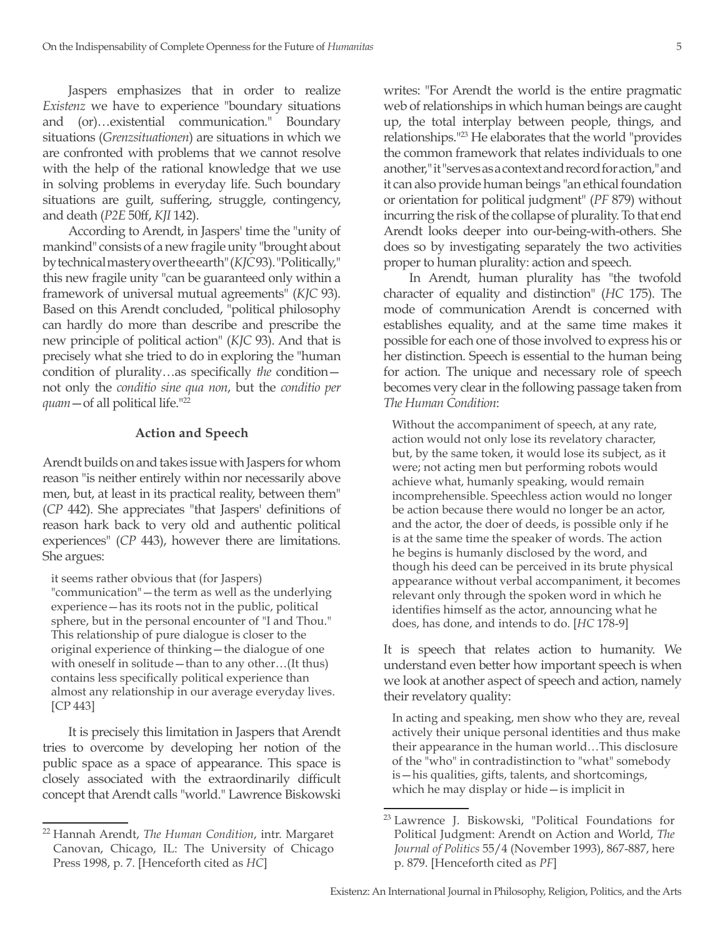Jaspers emphasizes that in order to realize *Existenz* we have to experience "boundary situations and (or)…existential communication." Boundary situations (*Grenzsituationen*) are situations in which we are confronted with problems that we cannot resolve with the help of the rational knowledge that we use in solving problems in everyday life. Such boundary situations are guilt, suffering, struggle, contingency, and death (*P2E* 50ff, *KJI* 142).

According to Arendt, in Jaspers' time the "unity of mankind" consists of a new fragile unity "brought about by technical mastery over the earth" (*KJC* 93). "Politically," this new fragile unity "can be guaranteed only within a framework of universal mutual agreements" (*KJC* 93). Based on this Arendt concluded, "political philosophy can hardly do more than describe and prescribe the new principle of political action" (*KJC* 93). And that is precisely what she tried to do in exploring the "human condition of plurality…as specifically *the* condition not only the *conditio sine qua non*, but the *conditio per quam*—of all political life."22

## **Action and Speech**

Arendt builds on and takes issue with Jaspers for whom reason "is neither entirely within nor necessarily above men, but, at least in its practical reality, between them" (*CP* 442). She appreciates "that Jaspers' definitions of reason hark back to very old and authentic political experiences" (*CP* 443), however there are limitations. She argues:

it seems rather obvious that (for Jaspers)

"communication"—the term as well as the underlying experience—has its roots not in the public, political sphere, but in the personal encounter of "I and Thou." This relationship of pure dialogue is closer to the original experience of thinking—the dialogue of one with oneself in solitude—than to any other…(It thus) contains less specifically political experience than almost any relationship in our average everyday lives. [CP 443]

It is precisely this limitation in Jaspers that Arendt tries to overcome by developing her notion of the public space as a space of appearance. This space is closely associated with the extraordinarily difficult concept that Arendt calls "world." Lawrence Biskowski writes: "For Arendt the world is the entire pragmatic web of relationships in which human beings are caught up, the total interplay between people, things, and relationships."23 He elaborates that the world "provides the common framework that relates individuals to one another," it "serves as a context and record for action," and it can also provide human beings "an ethical foundation or orientation for political judgment" (*PF* 879) without incurring the risk of the collapse of plurality. To that end Arendt looks deeper into our-being-with-others. She does so by investigating separately the two activities proper to human plurality: action and speech.

In Arendt, human plurality has "the twofold character of equality and distinction" (*HC* 175). The mode of communication Arendt is concerned with establishes equality, and at the same time makes it possible for each one of those involved to express his or her distinction. Speech is essential to the human being for action. The unique and necessary role of speech becomes very clear in the following passage taken from *The Human Condition*:

Without the accompaniment of speech, at any rate, action would not only lose its revelatory character, but, by the same token, it would lose its subject, as it were; not acting men but performing robots would achieve what, humanly speaking, would remain incomprehensible. Speechless action would no longer be action because there would no longer be an actor, and the actor, the doer of deeds, is possible only if he is at the same time the speaker of words. The action he begins is humanly disclosed by the word, and though his deed can be perceived in its brute physical appearance without verbal accompaniment, it becomes relevant only through the spoken word in which he identifies himself as the actor, announcing what he does, has done, and intends to do. [*HC* 178-9]

It is speech that relates action to humanity. We understand even better how important speech is when we look at another aspect of speech and action, namely their revelatory quality:

In acting and speaking, men show who they are, reveal actively their unique personal identities and thus make their appearance in the human world…This disclosure of the "who" in contradistinction to "what" somebody is—his qualities, gifts, talents, and shortcomings, which he may display or hide—is implicit in

<sup>22</sup> Hannah Arendt, *The Human Condition*, intr. Margaret Canovan, Chicago, IL: The University of Chicago Press 1998, p. 7. [Henceforth cited as *HC*]

<sup>23</sup> Lawrence J. Biskowski, "Political Foundations for Political Judgment: Arendt on Action and World, *The Journal of Politics* 55/4 (November 1993), 867-887, here p. 879. [Henceforth cited as *PF*]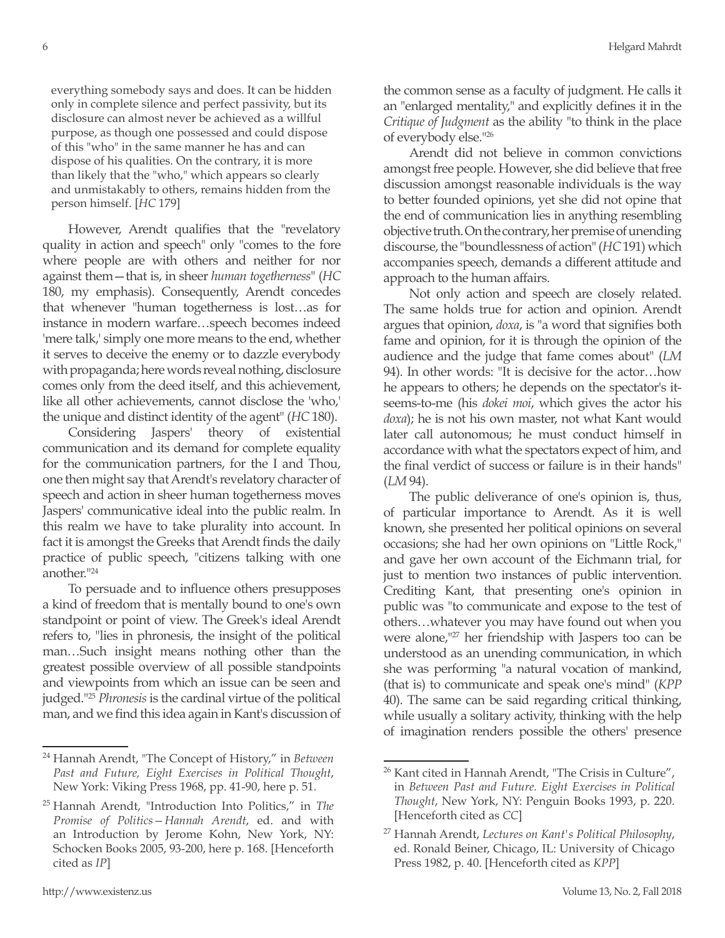everything somebody says and does. It can be hidden only in complete silence and perfect passivity, but its disclosure can almost never be achieved as a willful purpose, as though one possessed and could dispose of this "who" in the same manner he has and can dispose of his qualities. On the contrary, it is more than likely that the "who," which appears so clearly and unmistakably to others, remains hidden from the person himself. [*HC* 179]

However, Arendt qualifies that the "revelatory quality in action and speech" only "comes to the fore where people are with others and neither for nor against them—that is, in sheer *human togetherness*" (*HC* 180, my emphasis). Consequently, Arendt concedes that whenever "human togetherness is lost…as for instance in modern warfare…speech becomes indeed 'mere talk,' simply one more means to the end, whether it serves to deceive the enemy or to dazzle everybody with propaganda; here words reveal nothing, disclosure comes only from the deed itself, and this achievement, like all other achievements, cannot disclose the 'who,' the unique and distinct identity of the agent" (*HC* 180).

Considering Jaspers' theory of existential communication and its demand for complete equality for the communication partners, for the I and Thou, one then might say that Arendt's revelatory character of speech and action in sheer human togetherness moves Jaspers' communicative ideal into the public realm. In this realm we have to take plurality into account. In fact it is amongst the Greeks that Arendt finds the daily practice of public speech, "citizens talking with one another."24

To persuade and to influence others presupposes a kind of freedom that is mentally bound to one's own standpoint or point of view. The Greek's ideal Arendt refers to, "lies in phronesis, the insight of the political man…Such insight means nothing other than the greatest possible overview of all possible standpoints and viewpoints from which an issue can be seen and judged."25 *Phronesis* is the cardinal virtue of the political man, and we find this idea again in Kant's discussion of the common sense as a faculty of judgment. He calls it an "enlarged mentality," and explicitly defines it in the *Critique of Judgment* as the ability "to think in the place of everybody else."26

Arendt did not believe in common convictions amongst free people. However, she did believe that free discussion amongst reasonable individuals is the way to better founded opinions, yet she did not opine that the end of communication lies in anything resembling objective truth. On the contrary, her premise of unending discourse, the "boundlessness of action" (*HC* 191) which accompanies speech, demands a different attitude and approach to the human affairs.

Not only action and speech are closely related. The same holds true for action and opinion. Arendt argues that opinion, *doxa*, is "a word that signifies both fame and opinion, for it is through the opinion of the audience and the judge that fame comes about" (*LM* 94). In other words: "It is decisive for the actor…how he appears to others; he depends on the spectator's itseems-to-me (his *dokei moi*, which gives the actor his *doxa*); he is not his own master, not what Kant would later call autonomous; he must conduct himself in accordance with what the spectators expect of him, and the final verdict of success or failure is in their hands" (*LM* 94).

The public deliverance of one's opinion is, thus, of particular importance to Arendt. As it is well known, she presented her political opinions on several occasions; she had her own opinions on "Little Rock," and gave her own account of the Eichmann trial, for just to mention two instances of public intervention. Crediting Kant, that presenting one's opinion in public was "to communicate and expose to the test of others…whatever you may have found out when you were alone,<sup>"27</sup> her friendship with Jaspers too can be understood as an unending communication, in which she was performing "a natural vocation of mankind, (that is) to communicate and speak one's mind" (*KPP*  40). The same can be said regarding critical thinking, while usually a solitary activity, thinking with the help of imagination renders possible the others' presence

<sup>24</sup> Hannah Arendt, "The Concept of History," in *Between Past and Future, Eight Exercises in Political Thought*, New York: Viking Press 1968, pp. 41-90, here p. 51.

<sup>25</sup> Hannah Arendt, "Introduction Into Politics," in *The Promise of Politics—Hannah Arendt*, ed. and with an Introduction by Jerome Kohn, New York, NY: Schocken Books 2005, 93-200, here p. 168. [Henceforth cited as *IP*]

<sup>&</sup>lt;sup>26</sup> Kant cited in Hannah Arendt, "The Crisis in Culture", in *Between Past and Future. Eight Exercises in Political Thought*, New York, NY: Penguin Books 1993, p. 220. [Henceforth cited as *CC*]

<sup>27</sup> Hannah Arendt, *Lectures on Kant's Political Philosophy*, ed. Ronald Beiner, Chicago, IL: University of Chicago Press 1982, p. 40. [Henceforth cited as *KPP*]